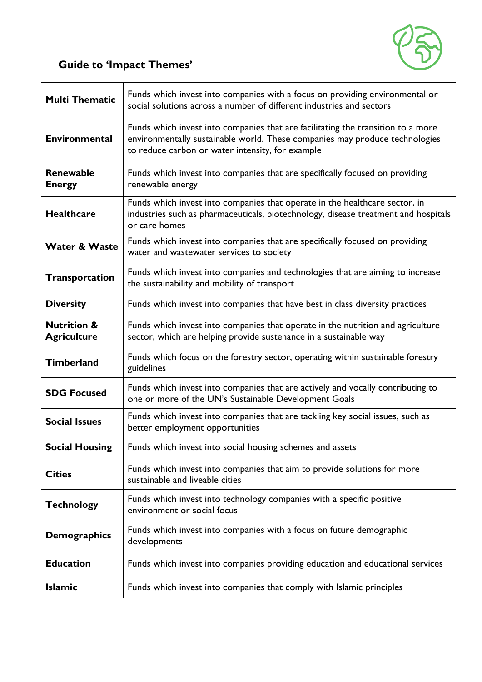

## **Guide to 'Impact Themes'**

| <b>Multi Thematic</b>                        | Funds which invest into companies with a focus on providing environmental or<br>social solutions across a number of different industries and sectors                                                                |
|----------------------------------------------|---------------------------------------------------------------------------------------------------------------------------------------------------------------------------------------------------------------------|
| <b>Environmental</b>                         | Funds which invest into companies that are facilitating the transition to a more<br>environmentally sustainable world. These companies may produce technologies<br>to reduce carbon or water intensity, for example |
| Renewable<br><b>Energy</b>                   | Funds which invest into companies that are specifically focused on providing<br>renewable energy                                                                                                                    |
| <b>Healthcare</b>                            | Funds which invest into companies that operate in the healthcare sector, in<br>industries such as pharmaceuticals, biotechnology, disease treatment and hospitals<br>or care homes                                  |
| <b>Water &amp; Waste</b>                     | Funds which invest into companies that are specifically focused on providing<br>water and wastewater services to society                                                                                            |
| <b>Transportation</b>                        | Funds which invest into companies and technologies that are aiming to increase<br>the sustainability and mobility of transport                                                                                      |
| <b>Diversity</b>                             | Funds which invest into companies that have best in class diversity practices                                                                                                                                       |
| <b>Nutrition &amp;</b><br><b>Agriculture</b> | Funds which invest into companies that operate in the nutrition and agriculture<br>sector, which are helping provide sustenance in a sustainable way                                                                |
| <b>Timberland</b>                            | Funds which focus on the forestry sector, operating within sustainable forestry<br>guidelines                                                                                                                       |
| <b>SDG Focused</b>                           | Funds which invest into companies that are actively and vocally contributing to<br>one or more of the UN's Sustainable Development Goals                                                                            |
| <b>Social Issues</b>                         | Funds which invest into companies that are tackling key social issues, such as<br>better employment opportunities                                                                                                   |
| <b>Social Housing</b>                        | Funds which invest into social housing schemes and assets                                                                                                                                                           |
| <b>Cities</b>                                | Funds which invest into companies that aim to provide solutions for more<br>sustainable and liveable cities                                                                                                         |
| <b>Technology</b>                            | Funds which invest into technology companies with a specific positive<br>environment or social focus                                                                                                                |
| <b>Demographics</b>                          | Funds which invest into companies with a focus on future demographic<br>developments                                                                                                                                |
| <b>Education</b>                             | Funds which invest into companies providing education and educational services                                                                                                                                      |
| <b>Islamic</b>                               | Funds which invest into companies that comply with Islamic principles                                                                                                                                               |